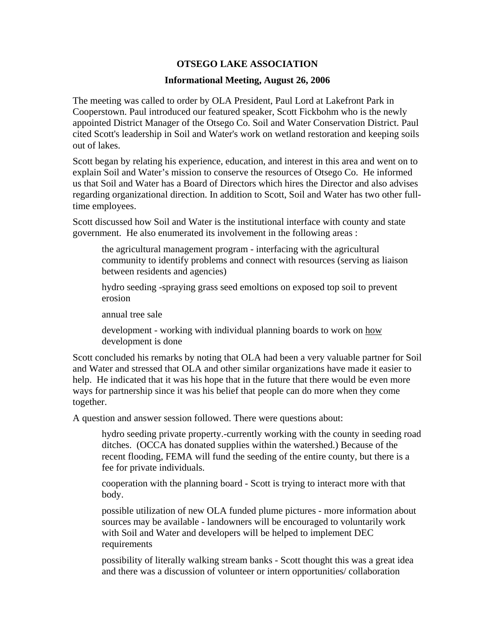## **OTSEGO LAKE ASSOCIATION**

## **Informational Meeting, August 26, 2006**

The meeting was called to order by OLA President, Paul Lord at Lakefront Park in Cooperstown. Paul introduced our featured speaker, Scott Fickbohm who is the newly appointed District Manager of the Otsego Co. Soil and Water Conservation District. Paul cited Scott's leadership in Soil and Water's work on wetland restoration and keeping soils out of lakes.

Scott began by relating his experience, education, and interest in this area and went on to explain Soil and Water's mission to conserve the resources of Otsego Co. He informed us that Soil and Water has a Board of Directors which hires the Director and also advises regarding organizational direction. In addition to Scott, Soil and Water has two other fulltime employees.

Scott discussed how Soil and Water is the institutional interface with county and state government. He also enumerated its involvement in the following areas :

the agricultural management program - interfacing with the agricultural community to identify problems and connect with resources (serving as liaison between residents and agencies)

hydro seeding -spraying grass seed emoltions on exposed top soil to prevent erosion

annual tree sale

development - working with individual planning boards to work on how development is done

Scott concluded his remarks by noting that OLA had been a very valuable partner for Soil and Water and stressed that OLA and other similar organizations have made it easier to help. He indicated that it was his hope that in the future that there would be even more ways for partnership since it was his belief that people can do more when they come together.

A question and answer session followed. There were questions about:

hydro seeding private property.-currently working with the county in seeding road ditches. (OCCA has donated supplies within the watershed.) Because of the recent flooding, FEMA will fund the seeding of the entire county, but there is a fee for private individuals.

cooperation with the planning board - Scott is trying to interact more with that body.

possible utilization of new OLA funded plume pictures - more information about sources may be available - landowners will be encouraged to voluntarily work with Soil and Water and developers will be helped to implement DEC requirements

possibility of literally walking stream banks - Scott thought this was a great idea and there was a discussion of volunteer or intern opportunities/ collaboration